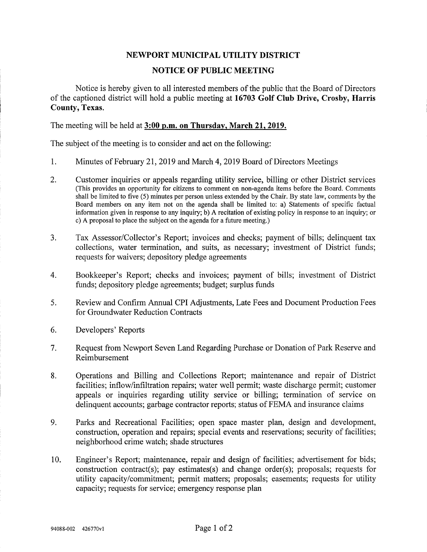## NEWPORT MUNICIPAL UTILITY DISTRICT

## NOTICE OF PUBLIC MEETING

Notice is hereby given to all interested members of the public that the Board of Directors of the captioned district will hold a public meeting at 16703 Golf Club Drive, Crosby, Harris County, Texas.

The meeting will be held at 3:00 p.m. on Thursday, March 21, 2019.

The subject of the meeting is to consider and act on the following:

- 1. Minutes of February 21,2019 and March 4,2019 Board of Directors Meetings
- 2. Customer inquiries or appeals regarding utility service, billing or other District services (This provides an opportunity for citizens to comment on non-agenda items before the Board. Comments shall be limited to five (5) minutes per person unless extended by the Chair. By state law, comments by the Board members on any item not on the agenda shall be limited to: a) Statements of specific factual information given in response to any inquiry; b) A recitation of existing policy in response to an inquiry; or c) A proposal to place the subject on the agenda for a future meeting.)
- 3. Tax Assessor/Collector's Report; invoices and checks; payment of bills; delinquent tax collections, water termination, and suits, as necessary; investment of District funds; requests for waivers; depository pledge agreements
- 4. Bookkeeper's Report; checks and invoices; payment of bills; investment of District funds; depository pledge agreements; budget; surplus funds
- 5. Review and Confirm Annual CPI Adjustments, Late Fees and Document Production Fees for Groundwater Reduction Contracts
- 6. Developers' Reports
- 7. Request from Newport Seven Land Regarding Purchase or Donation of Park Reserve and Reimbursement
- 8. Operations and Billing and Collections Report; maintenance and repair of District facilities; inflow/infiltration repairs; water well permit; waste discharge permit; customer appeals or inquiries regarding utility service or billing; termination of service on delinquent accounts; garbage contractor reports; status of FEMA and insurance claims
- 9. Parks and Recreational Facilities; open space master plan, design and development, construction, operation and repairs; special events and reservations; security of facilities; neighborhood crime watch; shade stmctures
- 10. Engineer's Report; maintenance, repair and design of facilities; advertisement for bids; construction contract(s); pay estimates(s) and change order(s); proposals; requests for utility capacity/commitment; permit matters; proposals; easements; requests for utility capacity; requests for service; emergency response plan